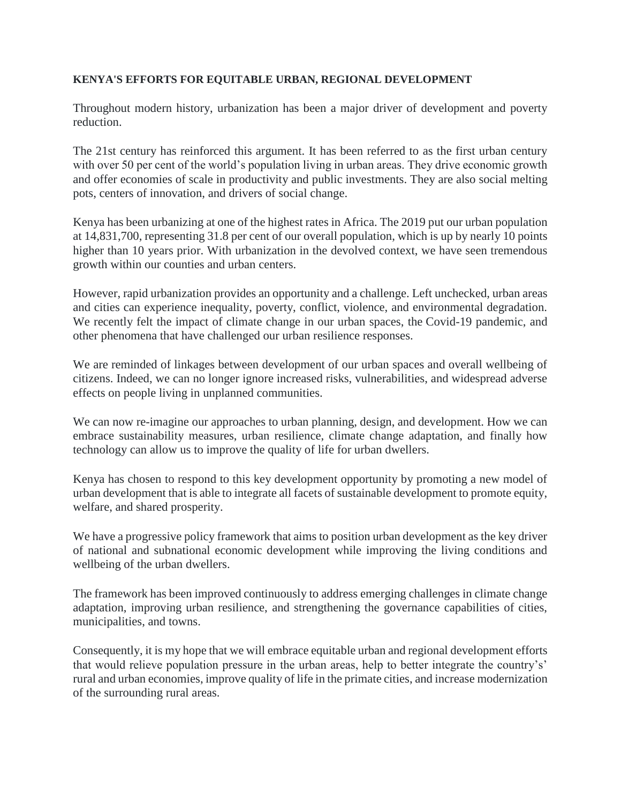## **KENYA'S EFFORTS FOR EQUITABLE URBAN, REGIONAL DEVELOPMENT**

Throughout modern history, urbanization has been a major driver of development and poverty reduction.

The 21st century has reinforced this argument. It has been referred to as the first urban century with over 50 per cent of the world's population living in urban areas. They drive economic growth and offer economies of scale in productivity and public investments. They are also social melting pots, centers of innovation, and drivers of social change.

Kenya has been urbanizing at one of the highest rates in Africa. The 2019 put our urban population at 14,831,700, representing 31.8 per cent of our overall population, which is up by nearly 10 points higher than 10 years prior. With urbanization in the devolved context, we have seen tremendous growth within our counties and urban centers.

However, rapid urbanization provides an opportunity and a challenge. Left unchecked, urban areas and cities can experience inequality, poverty, conflict, violence, and environmental degradation. We recently felt the impact of climate change in our urban spaces, the Covid-19 pandemic, and other phenomena that have challenged our urban resilience responses.

We are reminded of linkages between development of our urban spaces and overall wellbeing of citizens. Indeed, we can no longer ignore increased risks, vulnerabilities, and widespread adverse effects on people living in unplanned communities.

We can now re-imagine our approaches to urban planning, design, and development. How we can embrace sustainability measures, urban resilience, climate change adaptation, and finally how technology can allow us to improve the quality of life for urban dwellers.

Kenya has chosen to respond to this key development opportunity by promoting a new model of urban development that is able to integrate all facets of sustainable development to promote equity, welfare, and shared prosperity.

We have a progressive policy framework that aims to position urban development as the key driver of national and subnational economic development while improving the living conditions and wellbeing of the urban dwellers.

The framework has been improved continuously to address emerging challenges in climate change adaptation, improving urban resilience, and strengthening the governance capabilities of cities, municipalities, and towns.

Consequently, it is my hope that we will embrace equitable urban and regional development efforts that would relieve population pressure in the urban areas, help to better integrate the country's' rural and urban economies, improve quality of life in the primate cities, and increase modernization of the surrounding rural areas.